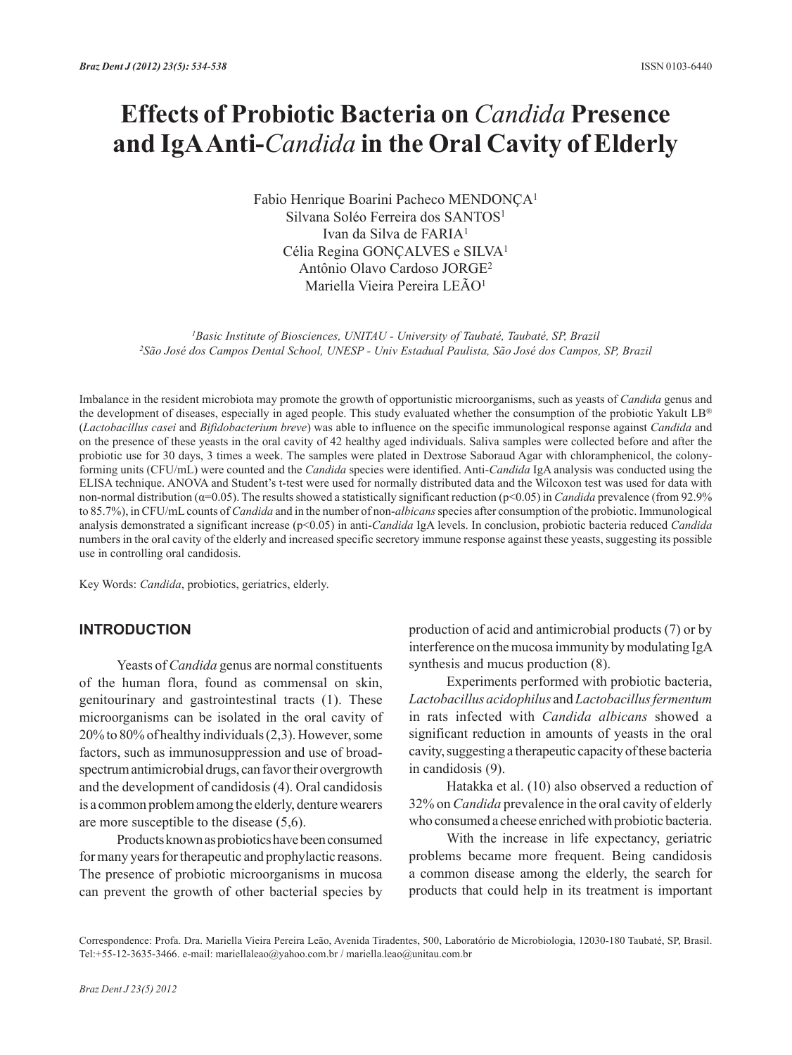# **Effects of Probiotic Bacteria on** *Candida* **Presence and IgA Anti-***Candida* **in the Oral Cavity of Elderly**

Fabio Henrique Boarini Pacheco MENDONÇA1 Silvana Soléo Ferreira dos SANTOS<sup>1</sup> Ivan da Silva de FARIA1 Célia Regina GONÇALVES e SILVA1 Antônio Olavo Cardoso JORGE2 Mariella Vieira Pereira LEÃO1

*1Basic Institute of Biosciences, UNITAU - University of Taubaté, Taubaté, SP, Brazil 2São José dos Campos Dental School, UNESP - Univ Estadual Paulista, São José dos Campos, SP, Brazil*

Imbalance in the resident microbiota may promote the growth of opportunistic microorganisms, such as yeasts of *Candida* genus and the development of diseases, especially in aged people. This study evaluated whether the consumption of the probiotic Yakult LB® (*Lactobacillus casei* and *Bifidobacterium breve*) was able to influence on the specific immunological response against *Candida* and on the presence of these yeasts in the oral cavity of 42 healthy aged individuals. Saliva samples were collected before and after the probiotic use for 30 days, 3 times a week. The samples were plated in Dextrose Saboraud Agar with chloramphenicol, the colonyforming units (CFU/mL) were counted and the *Candida* species were identified. Anti-*Candida* IgA analysis was conducted using the ELISA technique. ANOVA and Student's t-test were used for normally distributed data and the Wilcoxon test was used for data with non-normal distribution (α=0.05). The results showed a statistically significant reduction (p<0.05) in *Candida* prevalence (from 92.9% to 85.7%), in CFU/mL counts of *Candida* and in the number of non-*albicans* species after consumption of the probiotic. Immunological analysis demonstrated a significant increase (p<0.05) in anti-*Candida* IgA levels. In conclusion, probiotic bacteria reduced *Candida* numbers in the oral cavity of the elderly and increased specific secretory immune response against these yeasts, suggesting its possible use in controlling oral candidosis.

Key Words: *Candida*, probiotics, geriatrics, elderly.

## **INTRODUCTION**

Yeasts of *Candida* genus are normal constituents of the human flora, found as commensal on skin, genitourinary and gastrointestinal tracts (1). These microorganisms can be isolated in the oral cavity of 20% to 80% of healthy individuals (2,3). However, some factors, such as immunosuppression and use of broadspectrum antimicrobial drugs, can favor their overgrowth and the development of candidosis (4). Oral candidosis is a common problem among the elderly, denture wearers are more susceptible to the disease (5,6).

Products known as probiotics have been consumed for many years for therapeutic and prophylactic reasons. The presence of probiotic microorganisms in mucosa can prevent the growth of other bacterial species by

production of acid and antimicrobial products (7) or by interference on the mucosa immunity by modulating IgA synthesis and mucus production (8).

Experiments performed with probiotic bacteria, *Lactobacillus acidophilus* and *Lactobacillus fermentum* in rats infected with *Candida albicans* showed a significant reduction in amounts of yeasts in the oral cavity, suggesting a therapeutic capacity of these bacteria in candidosis (9).

Hatakka et al. (10) also observed a reduction of 32% on *Candida* prevalence in the oral cavity of elderly who consumed a cheese enriched with probiotic bacteria.

With the increase in life expectancy, geriatric problems became more frequent. Being candidosis a common disease among the elderly, the search for products that could help in its treatment is important

Correspondence: Profa. Dra. Mariella Vieira Pereira Leão, Avenida Tiradentes, 500, Laboratório de Microbiologia, 12030-180 Taubaté, SP, Brasil. Tel:+55-12-3635-3466. e-mail: mariellaleao@yahoo.com.br / mariella.leao@unitau.com.br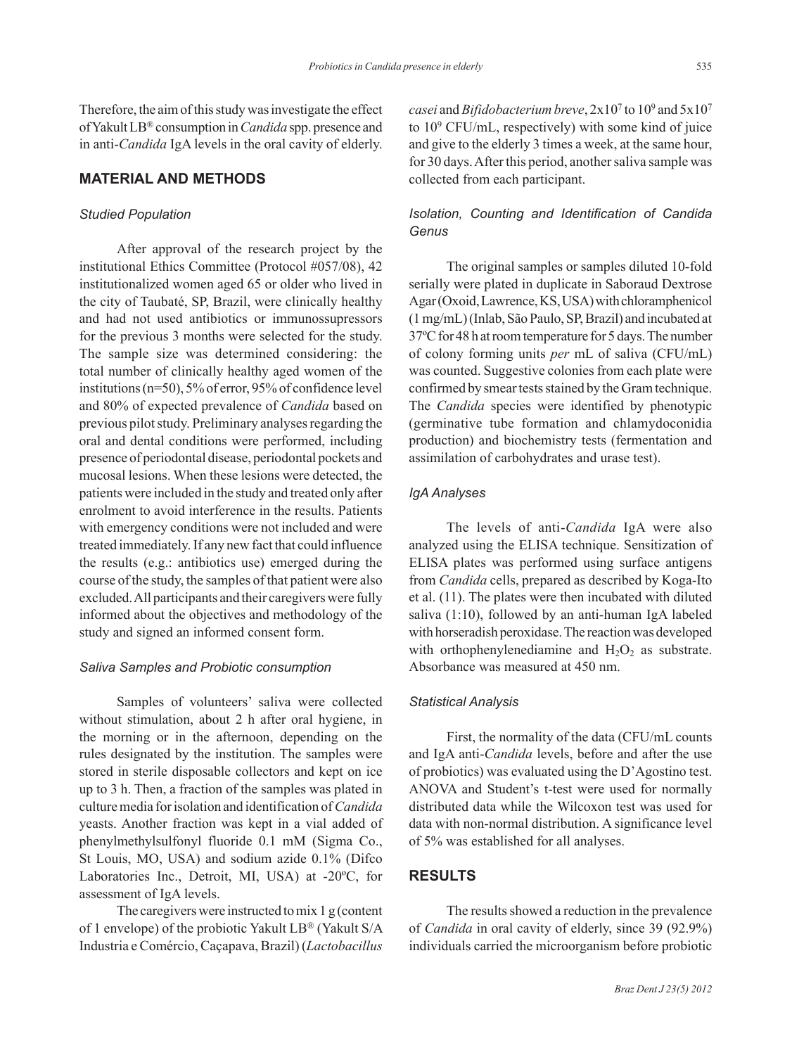Therefore, the aim of this study was investigate the effect of Yakult LB® consumption in *Candida* spp. presence and in anti-*Candida* IgA levels in the oral cavity of elderly.

# **MATERIAL AND METHODS**

#### *Studied Population*

After approval of the research project by the institutional Ethics Committee (Protocol #057/08), 42 institutionalized women aged 65 or older who lived in the city of Taubaté, SP, Brazil, were clinically healthy and had not used antibiotics or immunossupressors for the previous 3 months were selected for the study. The sample size was determined considering: the total number of clinically healthy aged women of the institutions (n=50), 5% of error, 95% of confidence level and 80% of expected prevalence of *Candida* based on previous pilot study. Preliminary analyses regarding the oral and dental conditions were performed, including presence of periodontal disease, periodontal pockets and mucosal lesions. When these lesions were detected, the patients were included in the study and treated only after enrolment to avoid interference in the results. Patients with emergency conditions were not included and were treated immediately. If any new fact that could influence the results (e.g.: antibiotics use) emerged during the course of the study, the samples of that patient were also excluded. All participants and their caregivers were fully informed about the objectives and methodology of the study and signed an informed consent form.

#### *Saliva Samples and Probiotic consumption*

Samples of volunteers' saliva were collected without stimulation, about 2 h after oral hygiene, in the morning or in the afternoon, depending on the rules designated by the institution. The samples were stored in sterile disposable collectors and kept on ice up to 3 h. Then, a fraction of the samples was plated in culture media for isolation and identification of *Candida* yeasts. Another fraction was kept in a vial added of phenylmethylsulfonyl fluoride 0.1 mM (Sigma Co., St Louis, MO, USA) and sodium azide 0.1% (Difco Laboratories Inc., Detroit, MI, USA) at -20ºC, for assessment of IgA levels.

The caregivers were instructed to mix 1 g (content of 1 envelope) of the probiotic Yakult LB® (Yakult S/A Industria e Comércio, Caçapava, Brazil) (*Lactobacillus* 

*casei* and *Bifidobacterium breve*, 2x107 to 109 and 5x107 to 109 CFU/mL, respectively) with some kind of juice and give to the elderly 3 times a week, at the same hour, for 30 days. After this period, another saliva sample was collected from each participant.

## *Isolation, Counting and Identification of Candida Genus*

The original samples or samples diluted 10-fold serially were plated in duplicate in Saboraud Dextrose Agar (Oxoid, Lawrence, KS, USA) with chloramphenicol (1 mg/mL) (Inlab, São Paulo, SP, Brazil) and incubated at 37ºC for 48 h at room temperature for 5 days. The number of colony forming units *per* mL of saliva (CFU/mL) was counted. Suggestive colonies from each plate were confirmed by smear tests stained by the Gram technique. The *Candida* species were identified by phenotypic (germinative tube formation and chlamydoconidia production) and biochemistry tests (fermentation and assimilation of carbohydrates and urase test).

#### *IgA Analyses*

The levels of anti-*Candida* IgA were also analyzed using the ELISA technique. Sensitization of ELISA plates was performed using surface antigens from *Candida* cells, prepared as described by Koga-Ito et al. (11). The plates were then incubated with diluted saliva (1:10), followed by an anti-human IgA labeled with horseradish peroxidase. The reaction was developed with orthophenylenediamine and  $H_2O_2$  as substrate. Absorbance was measured at 450 nm.

### *Statistical Analysis*

First, the normality of the data (CFU/mL counts and IgA anti-*Candida* levels, before and after the use of probiotics) was evaluated using the D'Agostino test. ANOVA and Student's t-test were used for normally distributed data while the Wilcoxon test was used for data with non-normal distribution. A significance level of 5% was established for all analyses.

#### **RESULTS**

The results showed a reduction in the prevalence of *Candida* in oral cavity of elderly, since 39 (92.9%) individuals carried the microorganism before probiotic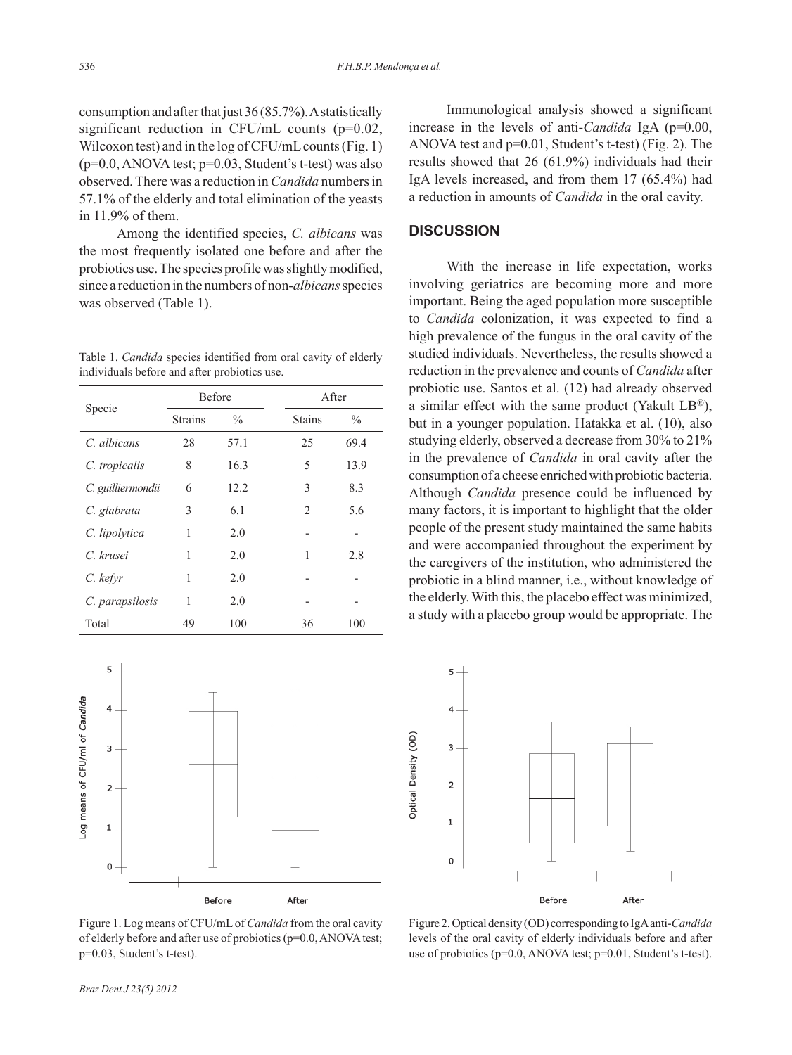consumption and after that just 36 (85.7%). A statistically significant reduction in CFU/mL counts  $(p=0.02)$ , Wilcoxon test) and in the log of CFU/mL counts (Fig. 1)  $(p=0.0, ANOVA test; p=0.03, Student's t-test)$  was also observed. There was a reduction in *Candida* numbers in 57.1% of the elderly and total elimination of the yeasts in 11.9% of them.

Among the identified species, *C. albicans* was the most frequently isolated one before and after the probiotics use. The species profile was slightly modified, since a reduction in the numbers of non-*albicans* species was observed (Table 1).

Table 1. *Candida* species identified from oral cavity of elderly individuals before and after probiotics use.

| Specie            | <b>Before</b>  |               |               | After         |  |
|-------------------|----------------|---------------|---------------|---------------|--|
|                   | <b>Strains</b> | $\frac{0}{0}$ | <b>Stains</b> | $\frac{0}{0}$ |  |
| C. albicans       | 28             | 57.1          | 25            | 69.4          |  |
| C. tropicalis     | 8              | 16.3          | 5             | 13.9          |  |
| C. guilliermondii | 6              | 12.2          | 3             | 8.3           |  |
| C. glabrata       | 3              | 6.1           | 2             | 5.6           |  |
| C. lipolytica     | 1              | 2.0           |               | -             |  |
| C. krusei         | 1              | 2.0           | 1             | 2.8           |  |
| C. kefyr          | 1              | 2.0           |               |               |  |
| C. parapsilosis   | 1              | 2.0           |               |               |  |
| Total             | 49             | 100           | 36            | 100           |  |



Figure 1. Log means of CFU/mL of *Candida* from the oral cavity of elderly before and after use of probiotics (p=0.0, ANOVA test; p=0.03, Student's t-test).

Immunological analysis showed a significant increase in the levels of anti-*Candida* IgA (p=0.00, ANOVA test and p=0.01, Student's t-test) (Fig. 2). The results showed that 26 (61.9%) individuals had their IgA levels increased, and from them 17 (65.4%) had a reduction in amounts of *Candida* in the oral cavity.

### **DISCUSSION**

With the increase in life expectation, works involving geriatrics are becoming more and more important. Being the aged population more susceptible to *Candida* colonization, it was expected to find a high prevalence of the fungus in the oral cavity of the studied individuals. Nevertheless, the results showed a reduction in the prevalence and counts of *Candida* after probiotic use. Santos et al. (12) had already observed a similar effect with the same product (Yakult LB®), but in a younger population. Hatakka et al. (10), also studying elderly, observed a decrease from 30% to 21% in the prevalence of *Candida* in oral cavity after the consumption of a cheese enriched with probiotic bacteria. Although *Candida* presence could be influenced by many factors, it is important to highlight that the older people of the present study maintained the same habits and were accompanied throughout the experiment by the caregivers of the institution, who administered the probiotic in a blind manner, i.e., without knowledge of the elderly. With this, the placebo effect was minimized, a study with a placebo group would be appropriate. The



Figure 2. Optical density (OD) corresponding to IgA anti-*Candida* levels of the oral cavity of elderly individuals before and after use of probiotics (p=0.0, ANOVA test; p=0.01, Student's t-test).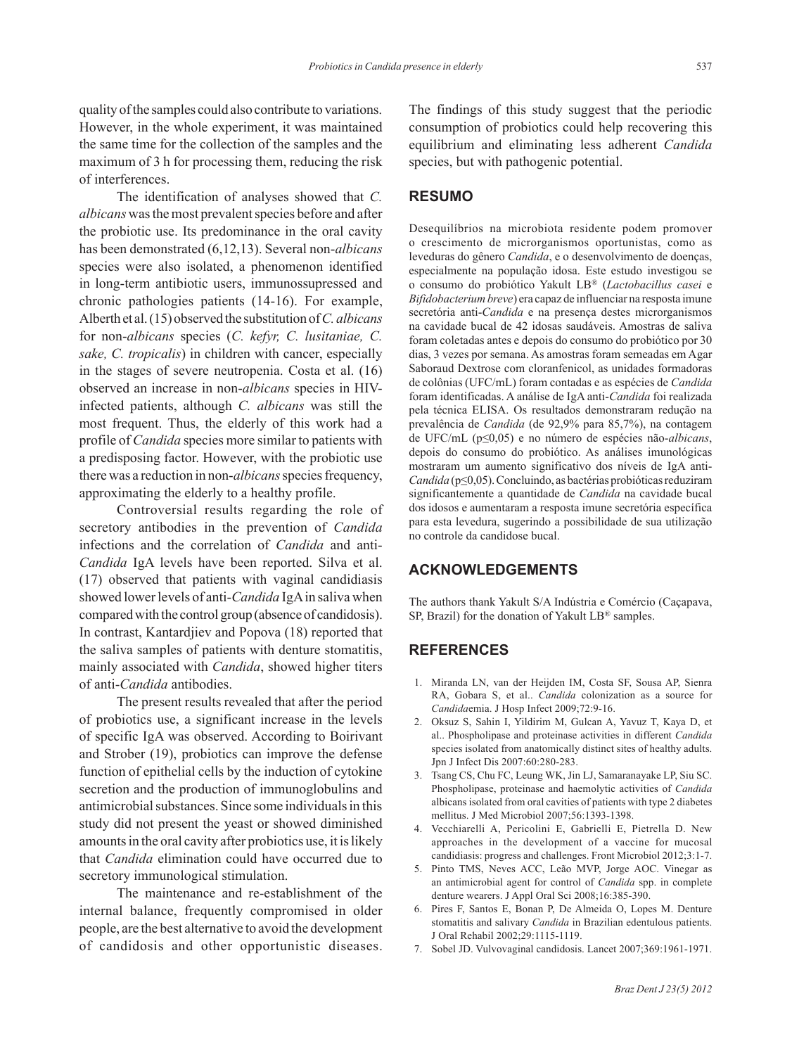quality of the samples could also contribute to variations. However, in the whole experiment, it was maintained the same time for the collection of the samples and the maximum of 3 h for processing them, reducing the risk of interferences.

The identification of analyses showed that *C. albicans* was the most prevalent species before and after the probiotic use. Its predominance in the oral cavity has been demonstrated (6,12,13). Several non-*albicans*  species were also isolated, a phenomenon identified in long-term antibiotic users, immunossupressed and chronic pathologies patients (14-16). For example, Alberth et al. (15) observed the substitution of *C. albicans* for non-*albicans* species (*C. kefyr, C. lusitaniae, C. sake, C. tropicalis*) in children with cancer, especially in the stages of severe neutropenia. Costa et al. (16) observed an increase in non-*albicans* species in HIVinfected patients, although *C. albicans* was still the most frequent. Thus, the elderly of this work had a profile of *Candida* species more similar to patients with a predisposing factor. However, with the probiotic use there was a reduction in non-*albicans* species frequency, approximating the elderly to a healthy profile.

Controversial results regarding the role of secretory antibodies in the prevention of *Candida* infections and the correlation of *Candida* and anti-*Candida* IgA levels have been reported. Silva et al. (17) observed that patients with vaginal candidiasis showed lower levels of anti-*Candida* IgA in saliva when compared with the control group (absence of candidosis). In contrast, Kantardjiev and Popova (18) reported that the saliva samples of patients with denture stomatitis, mainly associated with *Candida*, showed higher titers of anti-*Candida* antibodies.

The present results revealed that after the period of probiotics use, a significant increase in the levels of specific IgA was observed. According to Boirivant and Strober (19), probiotics can improve the defense function of epithelial cells by the induction of cytokine secretion and the production of immunoglobulins and antimicrobial substances. Since some individuals in this study did not present the yeast or showed diminished amounts in the oral cavity after probiotics use, it is likely that *Candida* elimination could have occurred due to secretory immunological stimulation.

The maintenance and re-establishment of the internal balance, frequently compromised in older people, are the best alternative to avoid the development of candidosis and other opportunistic diseases.

The findings of this study suggest that the periodic consumption of probiotics could help recovering this equilibrium and eliminating less adherent *Candida* species, but with pathogenic potential.

#### **RESUMO**

Desequilíbrios na microbiota residente podem promover o crescimento de microrganismos oportunistas, como as leveduras do gênero *Candida*, e o desenvolvimento de doenças, especialmente na população idosa. Este estudo investigou se o consumo do probiótico Yakult LB® (*Lactobacillus casei* e *Bifidobacterium breve*) era capaz de influenciar na resposta imune secretória anti-*Candida* e na presença destes microrganismos na cavidade bucal de 42 idosas saudáveis. Amostras de saliva foram coletadas antes e depois do consumo do probiótico por 30 dias, 3 vezes por semana. As amostras foram semeadas em Agar Saboraud Dextrose com cloranfenicol, as unidades formadoras de colônias (UFC/mL) foram contadas e as espécies de *Candida* foram identificadas. A análise de IgA anti-*Candida* foi realizada pela técnica ELISA. Os resultados demonstraram redução na prevalência de *Candida* (de 92,9% para 85,7%), na contagem de UFC/mL (p≤0,05) e no número de espécies não-*albicans*, depois do consumo do probiótico. As análises imunológicas mostraram um aumento significativo dos níveis de IgA anti-*Candida* (p≤0,05). Concluindo, as bactérias probióticas reduziram significantemente a quantidade de *Candida* na cavidade bucal dos idosos e aumentaram a resposta imune secretória específica para esta levedura, sugerindo a possibilidade de sua utilização no controle da candidose bucal.

# **ACKNOWLEDGEMENTS**

The authors thank Yakult S/A Indústria e Comércio (Caçapava, SP, Brazil) for the donation of Yakult LB® samples.

#### **REFERENCES**

- 1. Miranda LN, van der Heijden IM, Costa SF, Sousa AP, Sienra RA, Gobara S, et al.. *Candida* colonization as a source for *Candida*emia. J Hosp Infect 2009;72:9-16.
- 2. Oksuz S, Sahin I, Yildirim M, Gulcan A, Yavuz T, Kaya D, et al.. Phospholipase and proteinase activities in different *Candida* species isolated from anatomically distinct sites of healthy adults. Jpn J Infect Dis 2007:60:280-283.
- 3. Tsang CS, Chu FC, Leung WK, Jin LJ, Samaranayake LP, Siu SC. Phospholipase, proteinase and haemolytic activities of *Candida* albicans isolated from oral cavities of patients with type 2 diabetes mellitus. J Med Microbiol 2007;56:1393-1398.
- 4. Vecchiarelli A, Pericolini E, Gabrielli E, Pietrella D. New approaches in the development of a vaccine for mucosal candidiasis: progress and challenges. Front Microbiol 2012;3:1-7.
- 5. Pinto TMS, Neves ACC, Leão MVP, Jorge AOC. Vinegar as an antimicrobial agent for control of *Candida* spp. in complete denture wearers. J Appl Oral Sci 2008;16:385-390.
- 6. Pires F, Santos E, Bonan P, De Almeida O, Lopes M. Denture stomatitis and salivary *Candida* in Brazilian edentulous patients. J Oral Rehabil 2002;29:1115-1119.
- 7. Sobel JD. Vulvovaginal candidosis. Lancet 2007;369:1961-1971.